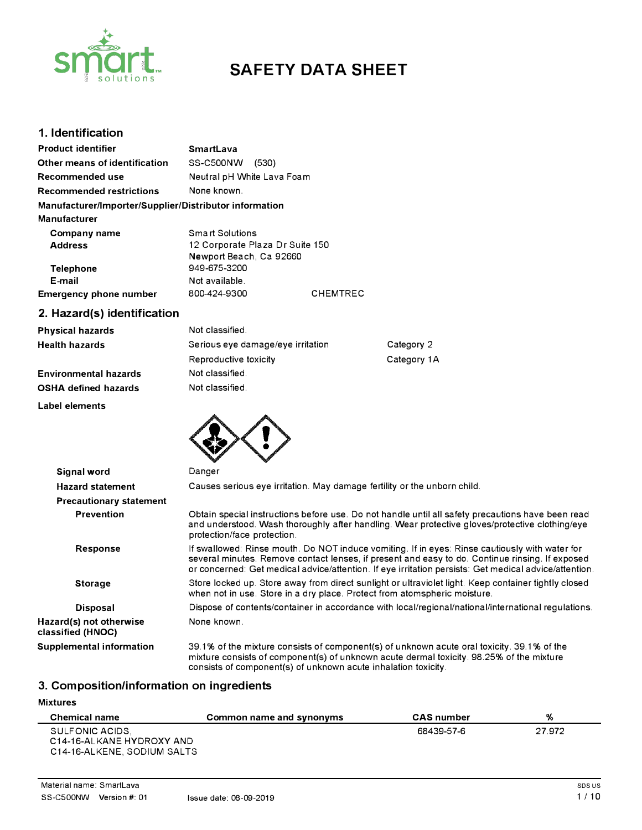

# **SAFETY DATA SHEET**

## **1. Identification**

| <b>Product identifier</b>                                                     | <b>SmartLava</b>                                                              |                 |
|-------------------------------------------------------------------------------|-------------------------------------------------------------------------------|-----------------|
| Other means of identification                                                 | SS-C500NW<br>(530)                                                            |                 |
| Recommended use                                                               | Neutral pH White Lava Foam                                                    |                 |
| <b>Recommended restrictions</b>                                               | None known.                                                                   |                 |
| Manufacturer/Importer/Supplier/Distributor information<br><b>Manufacturer</b> |                                                                               |                 |
| Company name<br><b>Address</b>                                                | Smart Solutions<br>12 Corporate Plaza Dr Suite 150<br>Newport Beach, Ca 92660 |                 |
| <b>Telephone</b><br>E-mail<br><b>Emergency phone number</b>                   | 949-675-3200<br>Not available.<br>800-424-9300                                | <b>CHEMTREC</b> |

## **2. Hazard(s) identification**

| <b>Physical hazards</b>      | Not classified.                   |             |
|------------------------------|-----------------------------------|-------------|
| <b>Health hazards</b>        | Serious eye damage/eye irritation | Category 2  |
|                              | Reproductive toxicity             | Category 1A |
| <b>Environmental hazards</b> | Not classified.                   |             |
| <b>OSHA defined hazards</b>  | Not classified.                   |             |

**Label elements** 



| Signal word                                  | Danger                                                                                                                                                                                                                                                                                                     |
|----------------------------------------------|------------------------------------------------------------------------------------------------------------------------------------------------------------------------------------------------------------------------------------------------------------------------------------------------------------|
| <b>Hazard statement</b>                      | Causes serious eye irritation. May damage fertility or the unborn child.                                                                                                                                                                                                                                   |
| <b>Precautionary statement</b>               |                                                                                                                                                                                                                                                                                                            |
| <b>Prevention</b>                            | Obtain special instructions before use. Do not handle until all safety precautions have been read<br>and understood. Wash thoroughly after handling. Wear protective gloves/protective clothing/eye<br>protection/face protection.                                                                         |
| Response                                     | If swallowed: Rinse mouth. Do NOT induce vomiting. If in eyes: Rinse cautiously with water for<br>several minutes. Remove contact lenses, if present and easy to do. Continue rinsing. If exposed<br>or concerned: Get medical advice/attention. If eye irritation persists: Get medical advice/attention. |
| <b>Storage</b>                               | Store locked up. Store away from direct sunlight or ultraviolet light. Keep container tightly closed<br>when not in use. Store in a dry place. Protect from atomspheric moisture.                                                                                                                          |
| <b>Disposal</b>                              | Dispose of contents/container in accordance with local/regional/national/international regulations.                                                                                                                                                                                                        |
| Hazard(s) not otherwise<br>classified (HNOC) | None known.                                                                                                                                                                                                                                                                                                |
| Supplemental information                     | 39.1% of the mixture consists of component(s) of unknown acute oral toxicity. 39.1% of the<br>mixture consists of component(s) of unknown acute dermal toxicity. 98.25% of the mixture<br>consists of component(s) of unknown acute inhalation toxicity.                                                   |

## **3. Composition/information on ingredients**

#### **Mixtures**

L,

| <b>Chemical name</b>                                                        | Common name and synonyms | <b>CAS</b> number | %      |
|-----------------------------------------------------------------------------|--------------------------|-------------------|--------|
| SULFONIC ACIDS.<br>C14-16-ALKANE HYDROXY AND<br>C14-16-ALKENE, SODIUM SALTS |                          | 68439-57-6        | 27.972 |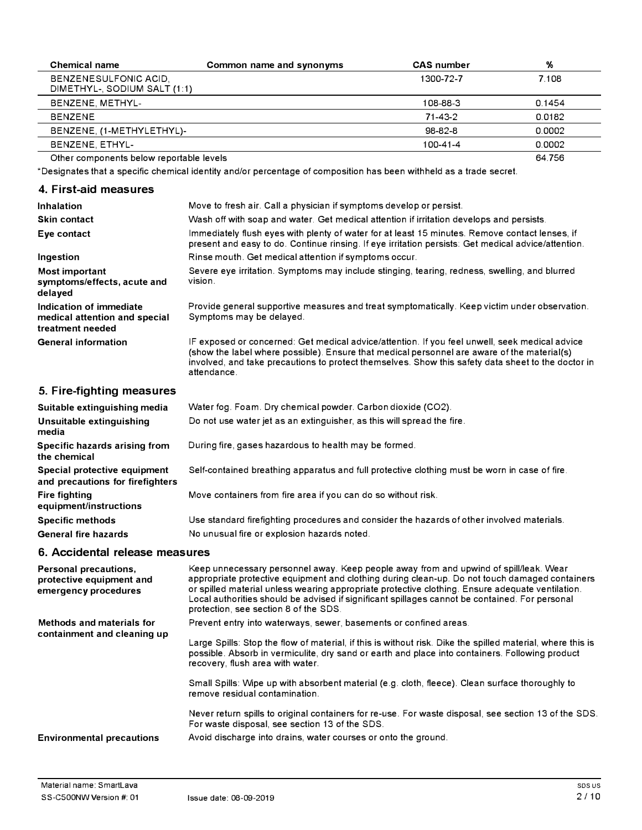| <b>Chemical name</b>                                  | Common name and synonyms | <b>CAS</b> number | %      |
|-------------------------------------------------------|--------------------------|-------------------|--------|
| BENZENESULFONIC ACID,<br>DIMETHYL-, SODIUM SALT (1:1) |                          | 1300-72-7         | 7.108  |
| BENZENE, METHYL-                                      |                          | 108-88-3          | 0.1454 |
| <b>BENZENE</b>                                        |                          | $71 - 43 - 2$     | 0.0182 |
| BENZENE, (1-METHYLETHYL)-                             |                          | 98-82-8           | 0.0002 |
| BENZENE, ETHYL-                                       |                          | 100-41-4          | 0.0002 |
| Other components below reportable levels              |                          |                   | 64.756 |

\*Designates that a specific chemical identity and/or percentage of composition has been withheld as a trade secret.

## **4. First-aid measures**

| Inhalation                                                                   | Move to fresh air. Call a physician if symptoms develop or persist.                                                                                                                                                                                                                                                |
|------------------------------------------------------------------------------|--------------------------------------------------------------------------------------------------------------------------------------------------------------------------------------------------------------------------------------------------------------------------------------------------------------------|
| <b>Skin contact</b>                                                          | Wash off with soap and water. Get medical attention if irritation develops and persists.                                                                                                                                                                                                                           |
| Eye contact                                                                  | Immediately flush eyes with plenty of water for at least 15 minutes. Remove contact lenses, if<br>present and easy to do. Continue rinsing. If eye irritation persists: Get medical advice/attention.                                                                                                              |
| Ingestion                                                                    | Rinse mouth. Get medical attention if symptoms occur.                                                                                                                                                                                                                                                              |
| Most important<br>symptoms/effects, acute and<br>delayed                     | Severe eye irritation. Symptoms may include stinging, tearing, redness, swelling, and blurred<br>vision.                                                                                                                                                                                                           |
| Indication of immediate<br>medical attention and special<br>treatment needed | Provide general supportive measures and treat symptomatically. Keep victim under observation.<br>Symptoms may be delayed.                                                                                                                                                                                          |
| <b>General information</b>                                                   | IF exposed or concerned: Get medical advice/attention. If you feel unwell, seek medical advice<br>(show the label where possible). Ensure that medical personnel are aware of the material(s)<br>involved, and take precautions to protect themselves. Show this safety data sheet to the doctor in<br>attendance. |

## **5. Fire-fighting measures**

| Suitable extinguishing media                                     | Water fog. Foam. Dry chemical powder. Carbon dioxide (CO2).                                   |
|------------------------------------------------------------------|-----------------------------------------------------------------------------------------------|
| Unsuitable extinguishing<br>media                                | Do not use water jet as an extinguisher, as this will spread the fire.                        |
| Specific hazards arising from<br>the chemical                    | During fire, gases hazardous to health may be formed.                                         |
| Special protective equipment<br>and precautions for firefighters | Self-contained breathing apparatus and full protective clothing must be worn in case of fire. |
| <b>Fire fighting</b><br>equipment/instructions                   | Move containers from fire area if you can do so without risk.                                 |
| <b>Specific methods</b>                                          | Use standard firefighting procedures and consider the hazards of other involved materials.    |
| <b>General fire hazards</b>                                      | No unusual fire or explosion hazards noted.                                                   |

## **6. Accidental release measures**

| Personal precautions,<br>protective equipment and<br>emergency procedures | Keep unnecessary personnel away. Keep people away from and upwind of spill/leak. Wear<br>appropriate protective equipment and clothing during clean-up. Do not touch damaged containers<br>or spilled material unless wearing appropriate protective clothing. Ensure adequate ventilation.<br>Local authorities should be advised if significant spillages cannot be contained. For personal<br>protection, see section 8 of the SDS. |
|---------------------------------------------------------------------------|----------------------------------------------------------------------------------------------------------------------------------------------------------------------------------------------------------------------------------------------------------------------------------------------------------------------------------------------------------------------------------------------------------------------------------------|
| Methods and materials for<br>containment and cleaning up                  | Prevent entry into waterways, sewer, basements or confined areas.<br>Large Spills: Stop the flow of material, if this is without risk. Dike the spilled material, where this is<br>possible. Absorb in vermiculite, dry sand or earth and place into containers. Following product                                                                                                                                                     |
|                                                                           | recovery, flush area with water.<br>Small Spills: Wipe up with absorbent material (e.g. cloth, fleece). Clean surface thoroughly to<br>remove residual contamination.                                                                                                                                                                                                                                                                  |
|                                                                           | Never return spills to original containers for re-use. For waste disposal, see section 13 of the SDS.<br>For waste disposal, see section 13 of the SDS.                                                                                                                                                                                                                                                                                |
| <b>Environmental precautions</b>                                          | Avoid discharge into drains, water courses or onto the ground.                                                                                                                                                                                                                                                                                                                                                                         |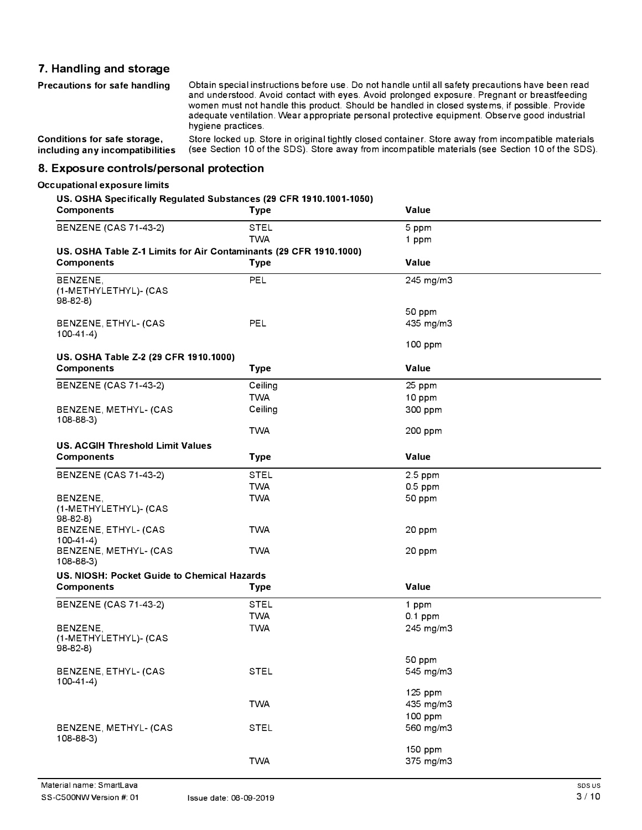## **7. Handling and storage**

| Precautions for safe handling   | Obtain special instructions before use. Do not handle until all safety precautions have been read<br>and understood. Avoid contact with eyes. Avoid prolonged exposure. Pregnant or breastfeeding<br>women must not handle this product. Should be handled in closed systems, if possible. Provide<br>adequate ventilation. Wear appropriate personal protective equipment. Observe good industrial<br>hygiene practices. |
|---------------------------------|---------------------------------------------------------------------------------------------------------------------------------------------------------------------------------------------------------------------------------------------------------------------------------------------------------------------------------------------------------------------------------------------------------------------------|
| Conditions for safe storage,    | Store locked up. Store in original tightly closed container. Store away from incompatible materials                                                                                                                                                                                                                                                                                                                       |
| including any incompatibilities | (see Section 10 of the SDS). Store away from incompatible materials (see Section 10 of the SDS).                                                                                                                                                                                                                                                                                                                          |

**8. Exposure controls/personal protection**

#### **Occupational exposure limits**

#### **US. OSHA Specifically Regulated Substances (29 CFR 1910.1001-1050)**

| <b>Components</b>                                                 | <b>Type</b> | Value                           |
|-------------------------------------------------------------------|-------------|---------------------------------|
| <b>BENZENE (CAS 71-43-2)</b>                                      | <b>STEL</b> | 5 ppm                           |
|                                                                   | <b>TWA</b>  | 1 ppm                           |
| US. OSHA Table Z-1 Limits for Air Contaminants (29 CFR 1910.1000) |             |                                 |
| <b>Components</b>                                                 | <b>Type</b> | Value                           |
| BENZENE,<br>(1-METHYLETHYL)- (CAS<br>$98-82-8$                    | PEL         | 245 mg/m3                       |
| BENZENE, ETHYL- (CAS<br>$100-41-4$                                | PEL         | 50 ppm<br>435 mg/m3             |
| US. OSHA Table Z-2 (29 CFR 1910.1000)                             |             | 100 ppm                         |
| <b>Components</b>                                                 | <b>Type</b> | Value                           |
| <b>BENZENE (CAS 71-43-2)</b>                                      | Ceiling     | 25 ppm                          |
|                                                                   | <b>TWA</b>  | 10 ppm                          |
| BENZENE, METHYL- (CAS<br>$108 - 88 - 3$                           | Ceiling     | 300 ppm                         |
|                                                                   | <b>TWA</b>  | 200 ppm                         |
| <b>US. ACGIH Threshold Limit Values</b>                           |             |                                 |
| <b>Components</b>                                                 | <b>Type</b> | Value                           |
| <b>BENZENE (CAS 71-43-2)</b>                                      | <b>STEL</b> | 2.5 ppm                         |
|                                                                   | <b>TWA</b>  | $0.5$ ppm                       |
| BENZENE,<br>(1-METHYLETHYL)- (CAS<br>$98-82-8$                    | <b>TWA</b>  | 50 ppm                          |
| BENZENE, ETHYL- (CAS<br>$100-41-4)$                               | <b>TWA</b>  | 20 ppm                          |
| BENZENE, METHYL- (CAS<br>$108 - 88 - 3$                           | <b>TWA</b>  | 20 ppm                          |
| US. NIOSH: Pocket Guide to Chemical Hazards                       |             |                                 |
| <b>Components</b>                                                 | Type        | Value                           |
| <b>BENZENE (CAS 71-43-2)</b>                                      | <b>STEL</b> | 1 ppm                           |
|                                                                   | <b>TWA</b>  | $0.1$ ppm                       |
| BENZENE,<br>(1-METHYLETHYL)- (CAS<br>$98 - 82 - 8$                | <b>TWA</b>  | 245 mg/m3                       |
| BENZENE, ETHYL- (CAS<br>$100-41-4$                                | <b>STEL</b> | 50 ppm<br>545 mg/m3             |
|                                                                   | <b>TWA</b>  | 125 ppm<br>435 mg/m3<br>100 ppm |
| BENZENE, METHYL- (CAS<br>108-88-3)                                | STEL        | 560 mg/m3                       |
|                                                                   | <b>TWA</b>  | 150 ppm<br>375 mg/m3            |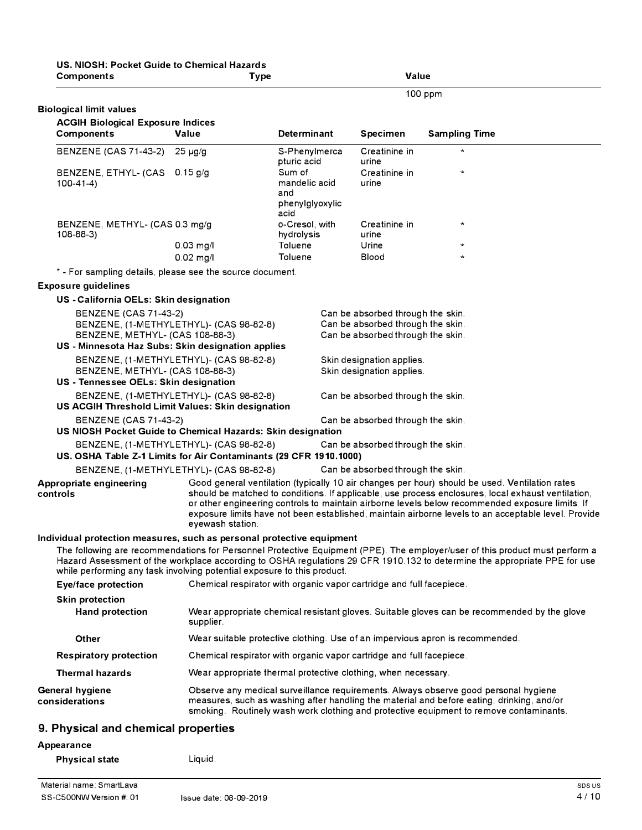| US. NIOSH: Pocket Guide to Chemical Hazards<br><b>Components</b>                                                                                 | <b>Type</b>                                                          |                                                           | Value                                                                                                       |                                                                                                                                                                                                                                                                                                              |
|--------------------------------------------------------------------------------------------------------------------------------------------------|----------------------------------------------------------------------|-----------------------------------------------------------|-------------------------------------------------------------------------------------------------------------|--------------------------------------------------------------------------------------------------------------------------------------------------------------------------------------------------------------------------------------------------------------------------------------------------------------|
|                                                                                                                                                  |                                                                      |                                                           |                                                                                                             | 100 ppm                                                                                                                                                                                                                                                                                                      |
| <b>Biological limit values</b>                                                                                                                   |                                                                      |                                                           |                                                                                                             |                                                                                                                                                                                                                                                                                                              |
| <b>ACGIH Biological Exposure Indices</b>                                                                                                         |                                                                      |                                                           |                                                                                                             |                                                                                                                                                                                                                                                                                                              |
| Components                                                                                                                                       | Value                                                                | <b>Determinant</b>                                        | <b>Specimen</b>                                                                                             | <b>Sampling Time</b>                                                                                                                                                                                                                                                                                         |
| <b>BENZENE (CAS 71-43-2)</b>                                                                                                                     | $25 \mu g/g$                                                         | S-Phenylmerca<br>pturic acid                              | Creatinine in<br>urine                                                                                      |                                                                                                                                                                                                                                                                                                              |
| BENZENE, ETHYL- (CAS<br>$100-41-4$                                                                                                               | $0.15$ g/g                                                           | Sum of<br>mandelic acid<br>and<br>phenylglyoxylic<br>acid | Creatinine in<br>urine                                                                                      | $\star$                                                                                                                                                                                                                                                                                                      |
| BENZENE, METHYL- (CAS 0.3 mg/g<br>$108 - 88 - 3$                                                                                                 |                                                                      | o-Cresol, with<br>hydrolysis                              | Creatinine in<br>urine                                                                                      | $\star$                                                                                                                                                                                                                                                                                                      |
|                                                                                                                                                  | $0.03$ mg/l<br>$0.02$ mg/l                                           | Toluene<br>Toluene                                        | Urine<br>Blood                                                                                              | $\star$                                                                                                                                                                                                                                                                                                      |
| * - For sampling details, please see the source document.                                                                                        |                                                                      |                                                           |                                                                                                             |                                                                                                                                                                                                                                                                                                              |
| <b>Exposure guidelines</b>                                                                                                                       |                                                                      |                                                           |                                                                                                             |                                                                                                                                                                                                                                                                                                              |
| US - California OELs: Skin designation                                                                                                           |                                                                      |                                                           |                                                                                                             |                                                                                                                                                                                                                                                                                                              |
| <b>BENZENE (CAS 71-43-2)</b><br>BENZENE, METHYL- (CAS 108-88-3)                                                                                  | BENZENE, (1-METHYLETHYL)- (CAS 98-82-8)                              |                                                           | Can be absorbed through the skin.<br>Can be absorbed through the skin.<br>Can be absorbed through the skin. |                                                                                                                                                                                                                                                                                                              |
| US - Minnesota Haz Subs: Skin designation applies                                                                                                |                                                                      |                                                           |                                                                                                             |                                                                                                                                                                                                                                                                                                              |
| BENZENE, METHYL- (CAS 108-88-3)                                                                                                                  | BENZENE, (1-METHYLETHYL)- (CAS 98-82-8)                              |                                                           | Skin designation applies.<br>Skin designation applies.                                                      |                                                                                                                                                                                                                                                                                                              |
| US - Tennessee OELs: Skin designation                                                                                                            | BENZENE, (1-METHYLETHYL)- (CAS 98-82-8)                              |                                                           | Can be absorbed through the skin.                                                                           |                                                                                                                                                                                                                                                                                                              |
| US ACGIH Threshold Limit Values: Skin designation                                                                                                |                                                                      |                                                           |                                                                                                             |                                                                                                                                                                                                                                                                                                              |
| <b>BENZENE (CAS 71-43-2)</b><br>US NIOSH Pocket Guide to Chemical Hazards: Skin designation                                                      |                                                                      |                                                           | Can be absorbed through the skin.                                                                           |                                                                                                                                                                                                                                                                                                              |
|                                                                                                                                                  | BENZENE, (1-METHYLETHYL)- (CAS 98-82-8)                              |                                                           | Can be absorbed through the skin.                                                                           |                                                                                                                                                                                                                                                                                                              |
| US. OSHA Table Z-1 Limits for Air Contaminants (29 CFR 1910.1000)                                                                                |                                                                      |                                                           |                                                                                                             |                                                                                                                                                                                                                                                                                                              |
|                                                                                                                                                  | BENZENE, (1-METHYLETHYL)- (CAS 98-82-8)                              |                                                           | Can be absorbed through the skin.                                                                           | Good general ventilation (typically 10 air changes per hour) should be used. Ventilation rates                                                                                                                                                                                                               |
| <b>Appropriate engineering</b><br>controls                                                                                                       | eyewash station                                                      |                                                           |                                                                                                             | should be matched to conditions. If applicable, use process enclosures, local exhaust ventilation,<br>or other engineering controls to maintain airborne levels below recommended exposure limits. If<br>exposure limits have not been established, maintain airborne levels to an acceptable level. Provide |
| Individual protection measures, such as personal protective equipment<br>while performing any task involving potential exposure to this product. |                                                                      |                                                           |                                                                                                             | The following are recommendations for Personnel Protective Equipment (PPE). The employer/user of this product must perform a<br>Hazard Assessment of the workplace according to OSHA regulations 29 CFR 1910.132 to determine the appropriate PPE for use                                                    |
| Eye/face protection                                                                                                                              | Chemical respirator with organic vapor cartridge and full facepiece. |                                                           |                                                                                                             |                                                                                                                                                                                                                                                                                                              |
| <b>Skin protection</b>                                                                                                                           |                                                                      |                                                           |                                                                                                             |                                                                                                                                                                                                                                                                                                              |
| <b>Hand protection</b>                                                                                                                           | supplier.                                                            |                                                           |                                                                                                             | Wear appropriate chemical resistant gloves. Suitable gloves can be recommended by the glove                                                                                                                                                                                                                  |
| Other                                                                                                                                            |                                                                      |                                                           |                                                                                                             | Wear suitable protective clothing. Use of an impervious apron is recommended.                                                                                                                                                                                                                                |
| <b>Respiratory protection</b>                                                                                                                    | Chemical respirator with organic vapor cartridge and full facepiece. |                                                           |                                                                                                             |                                                                                                                                                                                                                                                                                                              |
| <b>Thermal hazards</b>                                                                                                                           | Wear appropriate thermal protective clothing, when necessary.        |                                                           |                                                                                                             |                                                                                                                                                                                                                                                                                                              |
| <b>General hygiene</b><br>considerations                                                                                                         |                                                                      |                                                           |                                                                                                             | Observe any medical surveillance requirements. Always observe good personal hygiene<br>measures, such as washing after handling the material and before eating, drinking, and/or<br>smoking. Routinely wash work clothing and protective equipment to remove contaminants.                                   |
| 9. Physical and chemical properties                                                                                                              |                                                                      |                                                           |                                                                                                             |                                                                                                                                                                                                                                                                                                              |
| Appearance                                                                                                                                       |                                                                      |                                                           |                                                                                                             |                                                                                                                                                                                                                                                                                                              |
| <b>Physical state</b>                                                                                                                            | Liquid.                                                              |                                                           |                                                                                                             |                                                                                                                                                                                                                                                                                                              |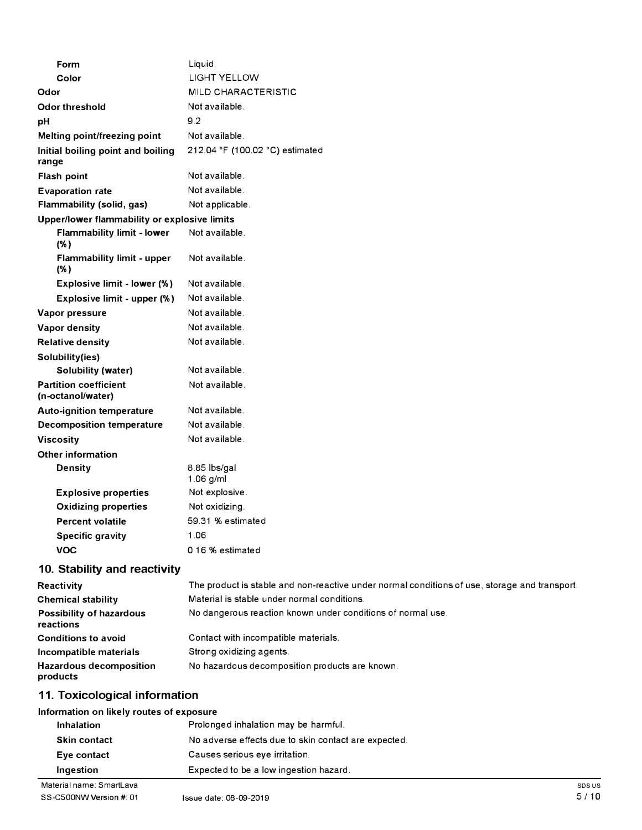| Form                                              | Liquid.                         |
|---------------------------------------------------|---------------------------------|
| Color                                             | <b>LIGHT YELLOW</b>             |
| Odor                                              | MILD CHARACTERISTIC             |
| <b>Odor threshold</b>                             | Not available.                  |
| pH                                                | 9.2                             |
| Melting point/freezing point                      | Not available.                  |
| Initial boiling point and boiling<br>range        | 212.04 °F (100.02 °C) estimated |
| Flash point                                       | Not available.                  |
| <b>Evaporation rate</b>                           | Not available.                  |
| Flammability (solid, gas)                         | Not applicable.                 |
| Upper/lower flammability or explosive limits      |                                 |
| <b>Flammability limit - lower</b><br>(% )         | Not available.                  |
| <b>Flammability limit - upper</b><br>(% )         | Not available.                  |
| Explosive limit - lower (%)                       | Not available.                  |
| Explosive limit - upper (%)                       | Not available.                  |
| Vapor pressure                                    | Not available.                  |
| <b>Vapor density</b>                              | Not available.                  |
| <b>Relative density</b>                           | Not available.                  |
| Solubility(ies)                                   |                                 |
| <b>Solubility (water)</b>                         | Not available.                  |
| <b>Partition coefficient</b><br>(n-octanol/water) | Not available.                  |
| <b>Auto-ignition temperature</b>                  | Not available.                  |
| <b>Decomposition temperature</b>                  | Not available.                  |
| <b>Viscosity</b>                                  | Not available.                  |
| <b>Other information</b>                          |                                 |
| <b>Density</b>                                    | 8.85 lbs/gal<br>$1.06$ g/ml     |
| <b>Explosive properties</b>                       | Not explosive.                  |
| <b>Oxidizing properties</b>                       | Not oxidizing.                  |
| <b>Percent volatile</b>                           | 59.31 % estimated               |
| <b>Specific gravity</b>                           | 1.06                            |
| <b>VOC</b>                                        | 0.16 % estimated                |
| 10 Ctability and reactivity                       |                                 |

#### **10. Stability and reactivity**

| Reactivity                                 | The product is stable and non-reactive under normal conditions of use, storage and transport. |
|--------------------------------------------|-----------------------------------------------------------------------------------------------|
| <b>Chemical stability</b>                  | Material is stable under normal conditions.                                                   |
| Possibility of hazardous<br>reactions      | No dangerous reaction known under conditions of normal use.                                   |
| <b>Conditions to avoid</b>                 | Contact with incompatible materials.                                                          |
| Incompatible materials                     | Strong oxidizing agents.                                                                      |
| <b>Hazardous decomposition</b><br>products | No hazardous decomposition products are known.                                                |

# **11. Toxicological information**

#### **Information on likely routes of exposure**

| Ingestion           | Expected to be a low ingestion hazard.               |
|---------------------|------------------------------------------------------|
| Eye contact         | Causes serious eye irritation.                       |
| <b>Skin contact</b> | No adverse effects due to skin contact are expected. |
| <b>Inhalation</b>   | Prolonged inhalation may be harmful.                 |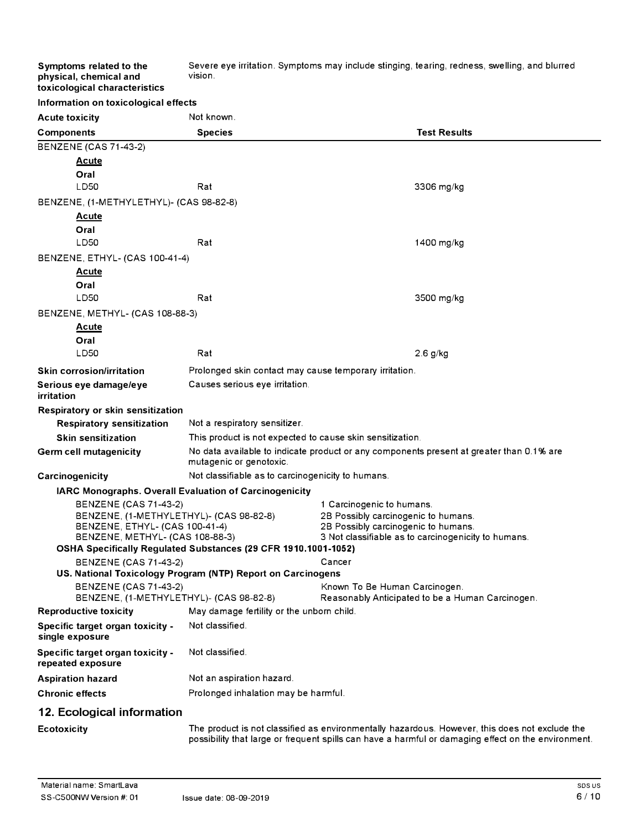Severe eye irritation. Symptoms may include stinging, tearing, redness, swelling, and blurred vision.

|  | toxicological characteristics |                                      |
|--|-------------------------------|--------------------------------------|
|  |                               | Information on toxicological effects |

**Symptoms related to the physical, chemical and** 

| <b>Acute toxicity</b>                                             | Not known.                                                     |                                                                                                |  |
|-------------------------------------------------------------------|----------------------------------------------------------------|------------------------------------------------------------------------------------------------|--|
| <b>Components</b>                                                 | <b>Species</b>                                                 | <b>Test Results</b>                                                                            |  |
| <b>BENZENE (CAS 71-43-2)</b>                                      |                                                                |                                                                                                |  |
| <b>Acute</b>                                                      |                                                                |                                                                                                |  |
| Oral                                                              |                                                                |                                                                                                |  |
| LD50                                                              | Rat                                                            | 3306 mg/kg                                                                                     |  |
| BENZENE, (1-METHYLETHYL)- (CAS 98-82-8)                           |                                                                |                                                                                                |  |
| <u>Acute</u>                                                      |                                                                |                                                                                                |  |
| Oral                                                              |                                                                |                                                                                                |  |
| LD50                                                              | Rat                                                            | 1400 mg/kg                                                                                     |  |
| BENZENE, ETHYL- (CAS 100-41-4)                                    |                                                                |                                                                                                |  |
| <b>Acute</b>                                                      |                                                                |                                                                                                |  |
| Oral                                                              |                                                                |                                                                                                |  |
| LD50                                                              | Rat                                                            | 3500 mg/kg                                                                                     |  |
| BENZENE, METHYL- (CAS 108-88-3)                                   |                                                                |                                                                                                |  |
| <u>Acute</u>                                                      |                                                                |                                                                                                |  |
| Oral                                                              |                                                                |                                                                                                |  |
| LD50                                                              | Rat                                                            | $2.6$ g/kg                                                                                     |  |
| <b>Skin corrosion/irritation</b>                                  | Prolonged skin contact may cause temporary irritation.         |                                                                                                |  |
| Serious eye damage/eye<br>irritation                              | Causes serious eye irritation.                                 |                                                                                                |  |
| Respiratory or skin sensitization                                 |                                                                |                                                                                                |  |
| <b>Respiratory sensitization</b>                                  | Not a respiratory sensitizer.                                  |                                                                                                |  |
| <b>Skin sensitization</b>                                         | This product is not expected to cause skin sensitization.      |                                                                                                |  |
| Germ cell mutagenicity                                            | mutagenic or genotoxic.                                        | No data available to indicate product or any components present at greater than 0.1% are       |  |
| Carcinogenicity                                                   | Not classifiable as to carcinogenicity to humans.              |                                                                                                |  |
| <b>IARC Monographs. Overall Evaluation of Carcinogenicity</b>     |                                                                |                                                                                                |  |
| <b>BENZENE (CAS 71-43-2)</b>                                      |                                                                | 1 Carcinogenic to humans.                                                                      |  |
| BENZENE, (1-METHYLETHYL)- (CAS 98-82-8)                           |                                                                | 2B Possibly carcinogenic to humans.                                                            |  |
| BENZENE, ETHYL- (CAS 100-41-4)<br>BENZENE, METHYL- (CAS 108-88-3) |                                                                | 2B Possibly carcinogenic to humans.<br>3 Not classifiable as to carcinogenicity to humans.     |  |
|                                                                   | OSHA Specifically Regulated Substances (29 CFR 1910.1001-1052) |                                                                                                |  |
| <b>BENZENE (CAS 71-43-2)</b>                                      |                                                                | Cancer                                                                                         |  |
| US. National Toxicology Program (NTP) Report on Carcinogens       |                                                                |                                                                                                |  |
| <b>BENZENE (CAS 71-43-2)</b>                                      |                                                                | Known To Be Human Carcinogen.                                                                  |  |
| BENZENE, (1-METHYLETHYL)- (CAS 98-82-8)                           |                                                                | Reasonably Anticipated to be a Human Carcinogen.                                               |  |
| <b>Reproductive toxicity</b>                                      | May damage fertility or the unborn child.                      |                                                                                                |  |
| Specific target organ toxicity -<br>single exposure               | Not classified.                                                |                                                                                                |  |
| Specific target organ toxicity -<br>repeated exposure             | Not classified.                                                |                                                                                                |  |
| <b>Aspiration hazard</b>                                          | Not an aspiration hazard.                                      |                                                                                                |  |
| <b>Chronic effects</b>                                            | Prolonged inhalation may be harmful.                           |                                                                                                |  |
| 12. Ecological information                                        |                                                                |                                                                                                |  |
| <b>Ecotoxicity</b>                                                |                                                                | The product is not classified as environmentally hazardous. However, this does not exclude the |  |

possibility that large or frequent spills can have a harmful or damaging effect on the environment.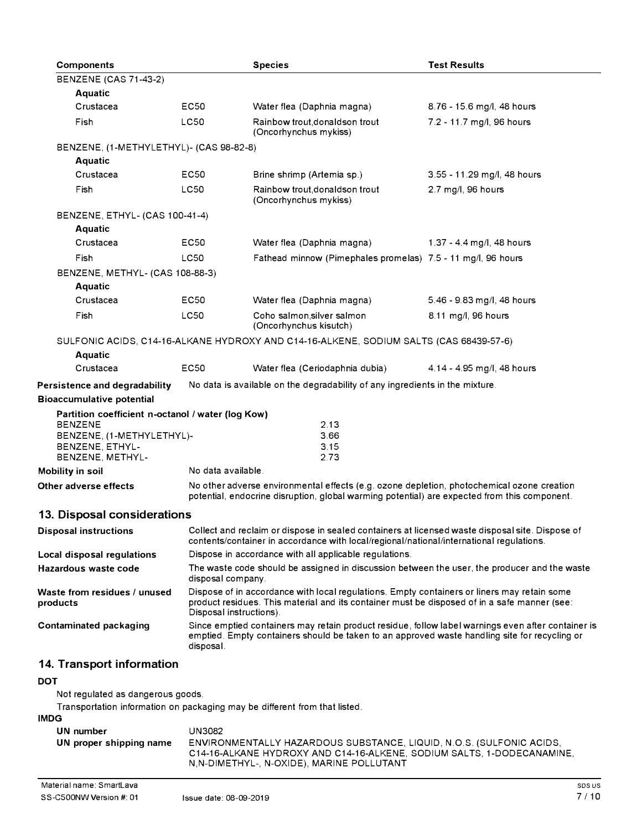| <b>Components</b>                                                                         |                                                                                                                                                                                                                        | <b>Species</b>                                                                                                                                                                              | <b>Test Results</b>         |
|-------------------------------------------------------------------------------------------|------------------------------------------------------------------------------------------------------------------------------------------------------------------------------------------------------------------------|---------------------------------------------------------------------------------------------------------------------------------------------------------------------------------------------|-----------------------------|
| <b>BENZENE (CAS 71-43-2)</b>                                                              |                                                                                                                                                                                                                        |                                                                                                                                                                                             |                             |
| <b>Aquatic</b>                                                                            |                                                                                                                                                                                                                        |                                                                                                                                                                                             |                             |
| Crustacea                                                                                 | EC50                                                                                                                                                                                                                   | Water flea (Daphnia magna)                                                                                                                                                                  | 8.76 - 15.6 mg/l, 48 hours  |
| Fish                                                                                      | <b>LC50</b>                                                                                                                                                                                                            | Rainbow trout, donaldson trout<br>(Oncorhynchus mykiss)                                                                                                                                     | 7.2 - 11.7 mg/l, 96 hours   |
| BENZENE, (1-METHYLETHYL)- (CAS 98-82-8)                                                   |                                                                                                                                                                                                                        |                                                                                                                                                                                             |                             |
| Aquatic                                                                                   |                                                                                                                                                                                                                        |                                                                                                                                                                                             |                             |
| Crustacea                                                                                 | EC50                                                                                                                                                                                                                   | Brine shrimp (Artemia sp.)                                                                                                                                                                  | 3.55 - 11.29 mg/l, 48 hours |
| Fish                                                                                      | <b>LC50</b>                                                                                                                                                                                                            | Rainbow trout, donaldson trout<br>(Oncorhynchus mykiss)                                                                                                                                     | 2.7 mg/l, 96 hours          |
| BENZENE, ETHYL- (CAS 100-41-4)                                                            |                                                                                                                                                                                                                        |                                                                                                                                                                                             |                             |
| <b>Aquatic</b>                                                                            |                                                                                                                                                                                                                        |                                                                                                                                                                                             |                             |
| Crustacea                                                                                 | EC50                                                                                                                                                                                                                   | Water flea (Daphnia magna)                                                                                                                                                                  | 1.37 - 4.4 mg/l, 48 hours   |
| Fish                                                                                      | LC50                                                                                                                                                                                                                   | Fathead minnow (Pimephales promelas) 7.5 - 11 mg/l, 96 hours                                                                                                                                |                             |
| BENZENE, METHYL- (CAS 108-88-3)                                                           |                                                                                                                                                                                                                        |                                                                                                                                                                                             |                             |
| <b>Aquatic</b>                                                                            |                                                                                                                                                                                                                        |                                                                                                                                                                                             |                             |
| Crustacea                                                                                 | EC50                                                                                                                                                                                                                   | Water flea (Daphnia magna)                                                                                                                                                                  | 5.46 - 9.83 mg/l, 48 hours  |
| Fish                                                                                      | <b>LC50</b>                                                                                                                                                                                                            | Coho salmon, silver salmon<br>(Oncorhynchus kisutch)                                                                                                                                        | 8.11 mg/l, 96 hours         |
|                                                                                           |                                                                                                                                                                                                                        | SULFONIC ACIDS, C14-16-ALKANE HYDROXY AND C14-16-ALKENE, SODIUM SALTS (CAS 68439-57-6)                                                                                                      |                             |
| <b>Aquatic</b>                                                                            |                                                                                                                                                                                                                        |                                                                                                                                                                                             |                             |
| Crustacea                                                                                 | <b>EC50</b>                                                                                                                                                                                                            | Water flea (Ceriodaphnia dubia)                                                                                                                                                             | 4.14 - 4.95 mg/l, 48 hours  |
| Persistence and degradability                                                             |                                                                                                                                                                                                                        | No data is available on the degradability of any ingredients in the mixture.                                                                                                                |                             |
| <b>Bioaccumulative potential</b>                                                          |                                                                                                                                                                                                                        |                                                                                                                                                                                             |                             |
| Partition coefficient n-octanol / water (log Kow)<br><b>BENZENE</b>                       |                                                                                                                                                                                                                        |                                                                                                                                                                                             |                             |
| BENZENE, (1-METHYLETHYL)-                                                                 |                                                                                                                                                                                                                        | 2.13<br>3.66                                                                                                                                                                                |                             |
| BENZENE, ETHYL-                                                                           |                                                                                                                                                                                                                        | 3.15                                                                                                                                                                                        |                             |
| BENZENE, METHYL-                                                                          |                                                                                                                                                                                                                        | 2.73                                                                                                                                                                                        |                             |
| Mobility in soil                                                                          | No data available.                                                                                                                                                                                                     |                                                                                                                                                                                             |                             |
| Other adverse effects                                                                     |                                                                                                                                                                                                                        | No other adverse environmental effects (e.g. ozone depletion, photochemical ozone creation<br>potential, endocrine disruption, global warming potential) are expected from this component.  |                             |
| 13. Disposal considerations                                                               |                                                                                                                                                                                                                        |                                                                                                                                                                                             |                             |
| <b>Disposal instructions</b>                                                              |                                                                                                                                                                                                                        | Collect and reclaim or dispose in sealed containers at licensed waste disposal site. Dispose of<br>contents/container in accordance with local/regional/national/international regulations. |                             |
| Local disposal regulations                                                                | Dispose in accordance with all applicable regulations.                                                                                                                                                                 |                                                                                                                                                                                             |                             |
| Hazardous waste code                                                                      | disposal company.                                                                                                                                                                                                      | The waste code should be assigned in discussion between the user, the producer and the waste                                                                                                |                             |
| Waste from residues / unused<br>products                                                  | Dispose of in accordance with local regulations. Empty containers or liners may retain some<br>product residues. This material and its container must be disposed of in a safe manner (see:<br>Disposal instructions). |                                                                                                                                                                                             |                             |
| <b>Contaminated packaging</b>                                                             | Since emptied containers may retain product residue, follow label warnings even after container is<br>emptied. Empty containers should be taken to an approved waste handling site for recycling or<br>disposal.       |                                                                                                                                                                                             |                             |
| 14. Transport information                                                                 |                                                                                                                                                                                                                        |                                                                                                                                                                                             |                             |
| <b>DOT</b>                                                                                |                                                                                                                                                                                                                        |                                                                                                                                                                                             |                             |
| Not regulated as dangerous goods.                                                         |                                                                                                                                                                                                                        |                                                                                                                                                                                             |                             |
| Transportation information on packaging may be different from that listed.<br><b>IMDG</b> |                                                                                                                                                                                                                        |                                                                                                                                                                                             |                             |

| UN number               | UN3082                                                                                                              |
|-------------------------|---------------------------------------------------------------------------------------------------------------------|
| UN proper shipping name | ENVIRONMENTALLY HAZARDOUS SUBSTANCE, LIQUID, N.O.S. (SULFONIC ACIDS,                                                |
|                         | C14-16-ALKANE HYDROXY AND C14-16-ALKENE. SODIUM SALTS. 1-DODECANAMINE.<br>N,N-DIMETHYL-, N-OXIDE), MARINE POLLUTANT |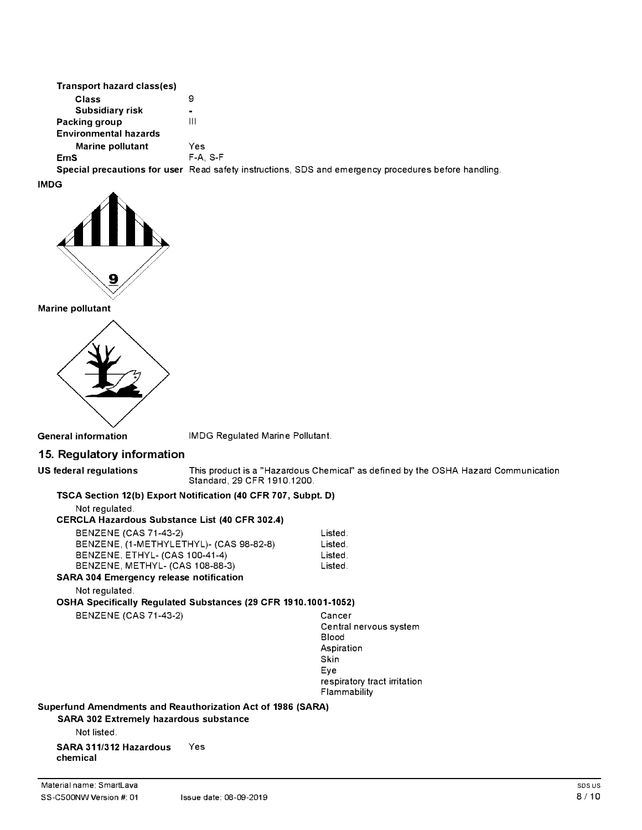| Transport hazard class(es)   |                                                                                                      |
|------------------------------|------------------------------------------------------------------------------------------------------|
| Class                        | 9                                                                                                    |
| Subsidiary risk              | $\blacksquare$                                                                                       |
| Packing group                | Ш                                                                                                    |
| <b>Environmental hazards</b> |                                                                                                      |
| Marine pollutant             | Yes                                                                                                  |
| <b>EmS</b>                   | $F-A. S-F$                                                                                           |
|                              | Special precautions for user Read safety instructions, SDS and emergency procedures before handling. |

**IMDG** 



**Marine pollutant** 



**General information** IMDG Regulated Marine Pollutant.

## **15. Regulatory information**

**US federal regulations** This product is a "Hazardous Chemical" as defined by the OSHA Hazard Communication Standard, 29 CFR 1910.1200.

#### **TSCA Section 12(b) Export Notification (40 CFR 707, Subpt. D)**

Not regulated.

#### **CERCLA Hazardous Substance List (40 CFR 302.4)**

| <b>BENZENE (CAS 71-43-2)</b>                  | Listed. |
|-----------------------------------------------|---------|
| BENZENE, (1-METHYLETHYL)- (CAS 98-82-8)       | Listed. |
| BENZENE, ETHYL- (CAS 100-41-4)                | Listed. |
| BENZENE, METHYL- (CAS 108-88-3)               | Listed. |
| <b>NRA 304 Emergency release notification</b> |         |

**SARA 304 Emergency release notification** 

Not regulated.

**OSHA Specifically Regulated Substances (29 CFR 1910.1001-1052)** 

BENZENE (CAS 71-43-2) Cancer

Central nervous system Blood Aspiration Skin Eye respiratory tract irritation Flammability

**Superfund Amendments and Reauthorization Act of 1986 (SARA)** 

**SARA 302 Extremely hazardous substance** 

Not listed.

**SARA 311/312 Hazardous** Yes **chemical**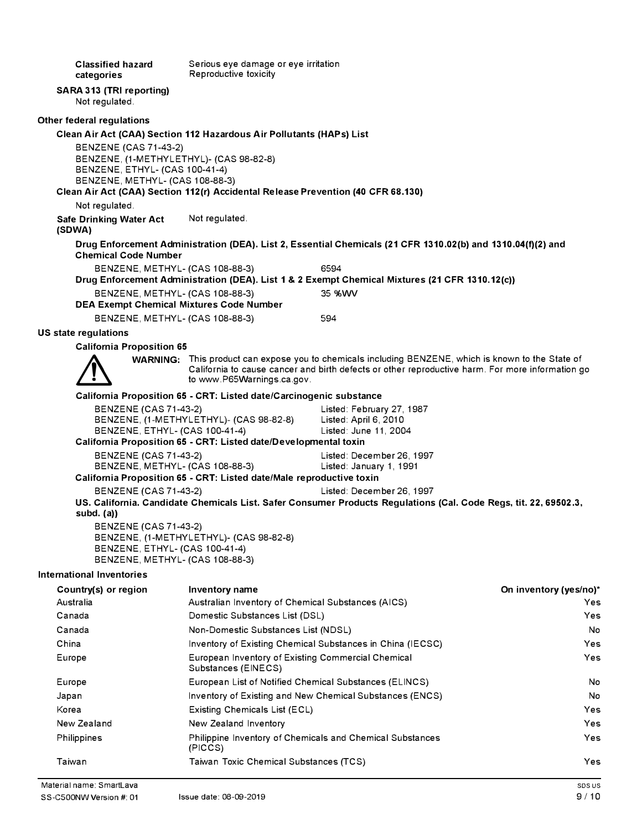**Classified hazard categories SARA 313 (TRI reporting)**  Not regulated. **Other federal regulations**  Serious eye damage or eye irritation Reproductive toxicity **Clean Air Act (CAA) Section 112 Hazardous Air Pollutants (HAPs) List**  BENZENE (CAS 71-43-2) BENZENE, (1-METHYLETHYL)- (CAS 98-82-8) BENZENE, ETHYL- (CAS 100-41-4) BENZENE, METHYL- (CAS 108-88-3) **Clean Air Act (CAA) Section 112(r) Accidental Release Prevention (40 CFR 68.130)**  Not regulated. **Safe Drinking Water Act (SDWA)**  Not regulated. **Drug Enforcement Administration (DEA). List 2, Essential Chemicals (21 CFR 1310.02(b) and 1310.04(f)(2) and Chemical Code Number**  BENZENE, METHYL- (CAS 108-88-3) 6594 **Drug Enforcement Administration (DEA). List 1 & 2 Exempt Chemical Mixtures (21 CFR 1310.12(c))**  BENZENE, METHYL- (CAS 108-88-3) 35 %WV **DEA Exempt Chemical Mixtures Code Number**  BENZENE, METHYL- (CAS 108-88-3) 594 **US state regulations California Proposition 65 WARNING:** This product can expose you to chemicals including BENZENE, which is known to the State of California to cause cancer and birth defects or other reproductive harm. For more information go to www.P65Warnings.ca.gov. **California Proposition 65 - CRT: Listed date/Carcinogenic substance**  BENZENE (CAS 71-43-2) Listed: February 27, 1987 BENZENE, (1-METHYLETHYL)- (CAS 98-82-8) Listed: April 6, 2010 BENZENE, ETHYL- (CAS 100-41-4) Listed: June 11, 2004 **California Proposition 65 - CRT: Listed date/Developmental toxin**  BENZENE (CAS 71-43-2) Listed: December 26, 1997 BENZENE, METHYL- (CAS 108-88-3) Listed: January 1, 1991 **California Proposition 65 - CRT: Listed date/Male reproductive toxin**  BENZENE (CAS 71-43-2) Listed: December 26, 1997 **US. California. Candidate Chemicals List. Safer Consumer Products Regulations (Cal. Code Regs, tit. 22, 69502.3, subd. (a))**  BENZENE (CAS 71-43-2) BENZENE, (1-METHYLETHYL)- (CAS 98-82-8) BENZENE, ETHYL- (CAS 100-41-4) BENZENE, METHYL- (CAS 108-88-3) **International Inventories Country(s) or region**  Australia Canada Canada China Europe Europe Japan Korea New Zealand Philippines Taiwan **Inventory name**  Australian Inventory of Chemical Substances (AICS) Domestic Substances List (DSL) Non-Domestic Substances List (NDSL) Inventory of Existing Chemical Substances in China (IECSC) European Inventory of Existing Commercial Chemical Substances (EINECS) European List of Notified Chemical Substances (ELINCS) Inventory of Existing and New Chemical Substances (ENCS) Existing Chemicals List (ECL) New Zealand Inventory Philippine Inventory of Chemicals and Chemical Substances (PICCS) Taiwan Toxic Chemical Substances (TCS) **On inventory (yes/no)\***  Yes Yes No Yes Yes No No Yes Yes Yes Yes